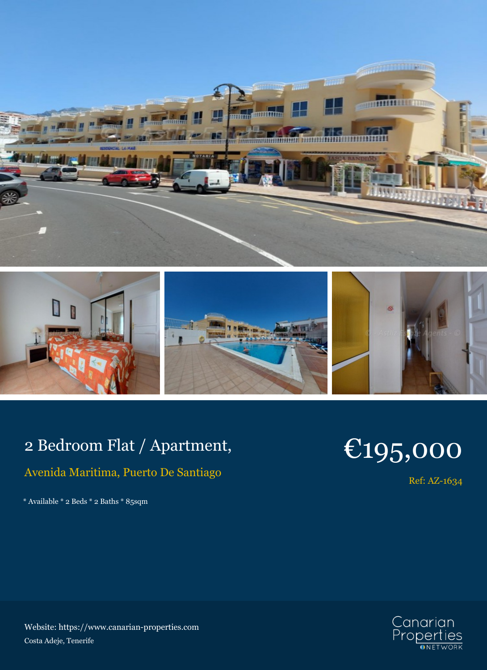



## 2 Bedroom Flat / Apartment,

## Avenida Maritima, Puerto De Santiago

\* Available \* 2 Beds \* 2 Baths \* 85sqm

## €195,000

Ref: AZ-1634



Website: https://www.canarian-properties.com Costa Adeje, Tenerife